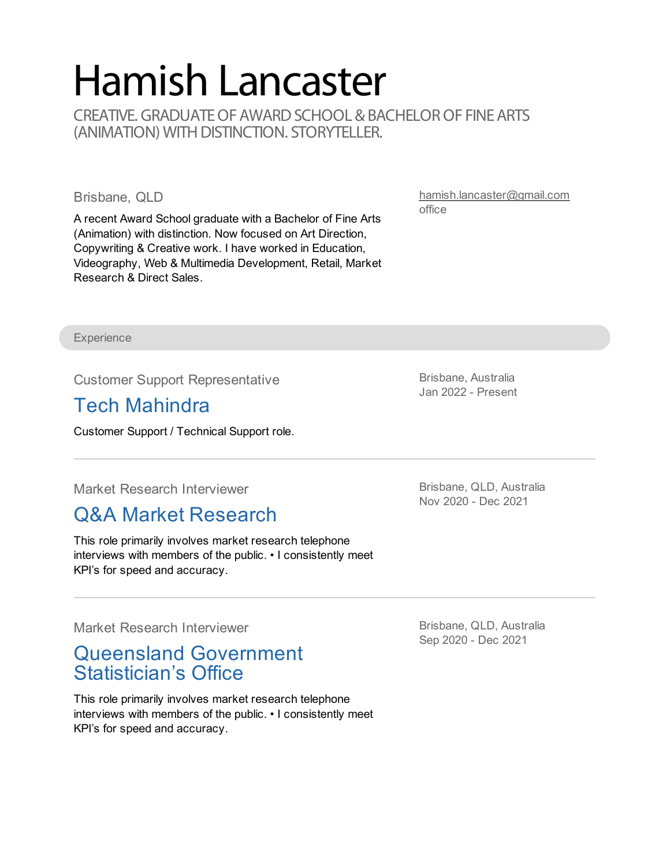# Hamish Lancaster

CREATIVE. GRADUATE OF AWARD SCHOOL & BACHELOR OF FINE ARTS (ANIMATION) WITH DISTINCTION. STORYTELLER.

#### Brisbane, QLD

A recent Award School graduate with a Bachelor of Fine Arts (Animation) with distinction. Now focused on Art Direction, Copywriting & Creative work. I have worked in Education, Videography, Web & Multimedia Development, Retail, Market Research & Direct Sales.

[hamish.lancaster@gmail.com](mailto:hamish.lancaster@gmail.com) office

**Experience** 

Customer Support Representative

## Tech Mahindra

Customer Support / Technical Support role.

Market Research Interviewer

## Q&A Market [Research](https://qandaresearch.com.au/)

This role primarily involves market research telephone interviews with members of the public. • I consistently meet KPI's for speed and accuracy.

Market Research Interviewer

#### Queensland [Government](http://www.qgso.qld.gov.au/) Statistician's Office

This role primarily involves market research telephone interviews with members of the public. • I consistently meet KPI's for speed and accuracy.

Brisbane, Australia Jan 2022 - Present

Brisbane, QLD, Australia Nov 2020 - Dec 2021

Brisbane, QLD, Australia Sep 2020 - Dec 2021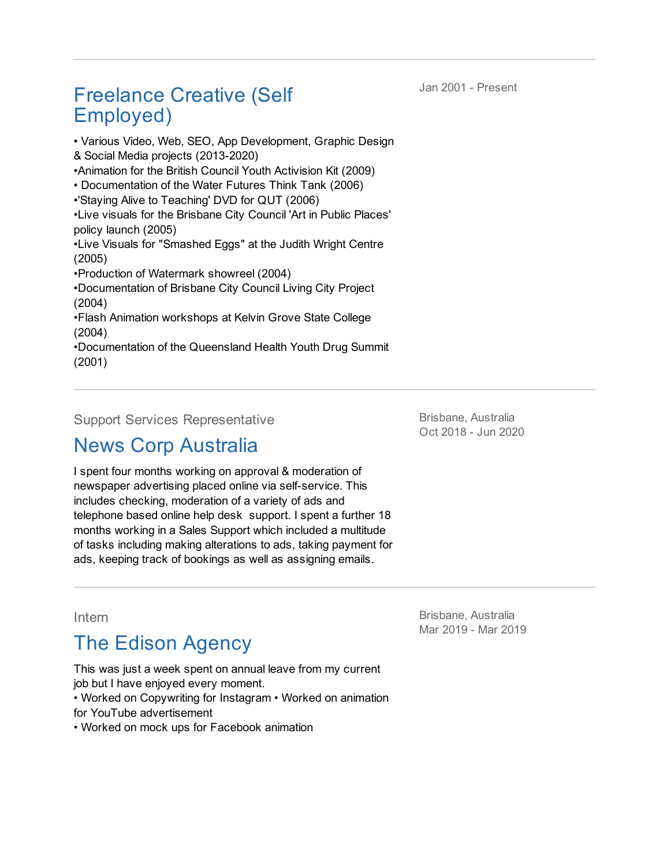Jan 2001 - Present

## Freelance Creative (Self Employed)

• Various Video, Web, SEO, App Development, Graphic Design & Social Media projects (2013-2020) •Animation for the British Council Youth Activision Kit (2009) • Documentation of the Water Futures Think Tank (2006) •'Staying Alive to Teaching' DVD for QUT (2006) •Live visuals for the Brisbane City Council 'Art in Public Places' policy launch (2005) •Live Visuals for "Smashed Eggs" at the Judith Wright Centre (2005) •Production of Watermark showreel (2004) •Documentation of Brisbane City Council Living City Project (2004) •Flash Animation workshops at Kelvin Grove State College (2004) •Documentation of the Queensland Health Youth Drug Summit (2001)

Support Services Representative

## News Corp [Australia](http://www.newscorpaustralia.com)

Brisbane, Australia Oct 2018 - Jun 2020

I spent four months working on approval & moderation of newspaper advertising placed online via self-service. This includes checking, moderation of a variety of ads and telephone based online help desk support. I spent a further 18 months working in a Sales Support which included a multitude of tasks including making alterations to ads, taking payment for ads, keeping track of bookings as well as assigning emails.

#### Intern

## The Edison Agency

This was just a week spent on annual leave from my current job but I have enjoyed every moment. • Worked on Copywriting for Instagram • Worked on animation for YouTube advertisement

• Worked on mock ups for Facebook animation

Brisbane, Australia Mar 2019 - Mar 2019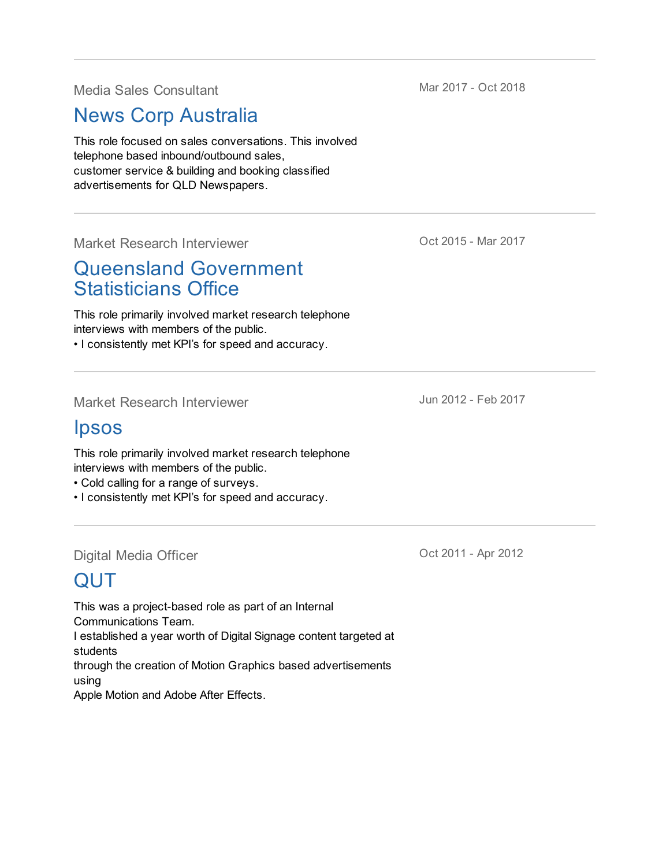Media Sales Consultant

News Corp [Australia](http://www.newscorpaustralia.com)

This role focused on sales conversations. This involved telephone based inbound/outbound sales, customer service & building and booking classified advertisements for QLD Newspapers.

Market Research Interviewer

## Queensland [Government](http://www.qgso.qld.gov.au) Statisticians Office

This role primarily involved market research telephone interviews with members of the public.

• I consistently met KPI's for speed and accuracy.

Market Research Interviewer

#### [Ipsos](https://www.ipsos.com/)

This role primarily involved market research telephone interviews with members of the public.

- Cold calling for a range of surveys.
- I consistently met KPI's for speed and accuracy.

Digital Media Officer

# [QUT](http://qut.edu.au)

This was a project-based role as part of an Internal Communications Team. I established a year worth of Digital Signage content targeted at students through the creation of Motion Graphics based advertisements using

Apple Motion and Adobe After Effects.

Mar 2017 - Oct 2018

Oct 2015 - Mar 2017

Jun 2012 - Feb 2017

Oct 2011 - Apr 2012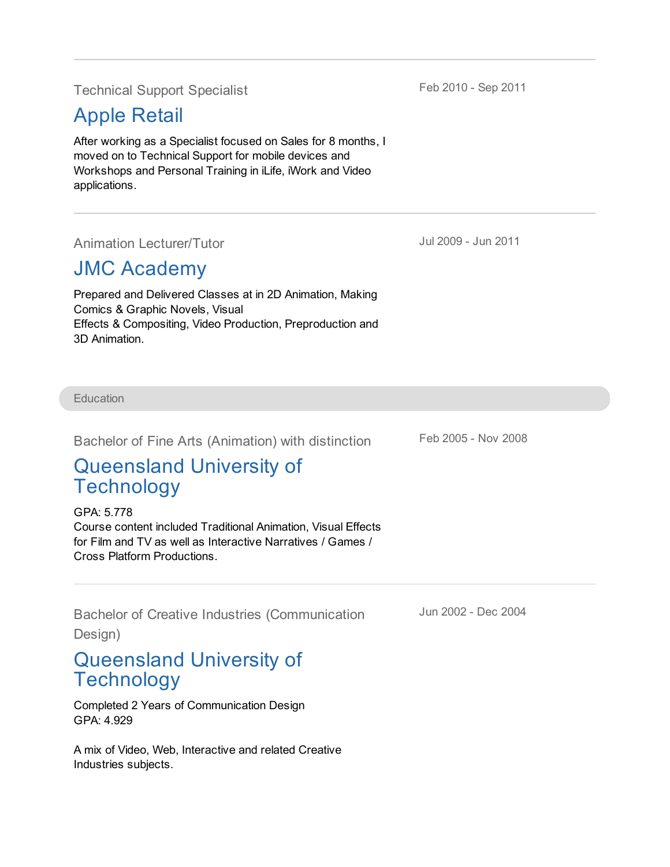Technical Support Specialist

## [Apple](http://www.apple.com/au/chermside/) Retail

After working as a Specialist focused on Sales for 8 months, I moved on to Technical Support for mobile devices and Workshops and Personal Training in iLife, iWork and Video applications.

Animation Lecturer/Tutor

## JMC [Academy](http://www.jmc.edu.au)

Prepared and Delivered Classes at in 2D Animation, Making Comics & Graphic Novels, Visual Effects & Compositing, Video Production, Preproduction and 3D Animation.

**Education** 

Bachelor of Fine Arts (Animation) with distinction

## [Queensland](https://www.qut.edu.au) University of **Technology**

GPA: 5.778 Course content included Traditional Animation, Visual Effects for Film and TV as well as Interactive Narratives / Games / Cross Platform Productions.

Bachelor of Creative Industries (Communication

Design)

## [Queensland](https://www.qut.edu.au) University of **Technology**

Completed 2 Years of Communication Design GPA: 4.929

A mix of Video, Web, Interactive and related Creative Industries subjects.

Jul 2009 - Jun 2011

Feb 2005 - Nov 2008

Jun 2002 - Dec 2004

Feb 2010 - Sep 2011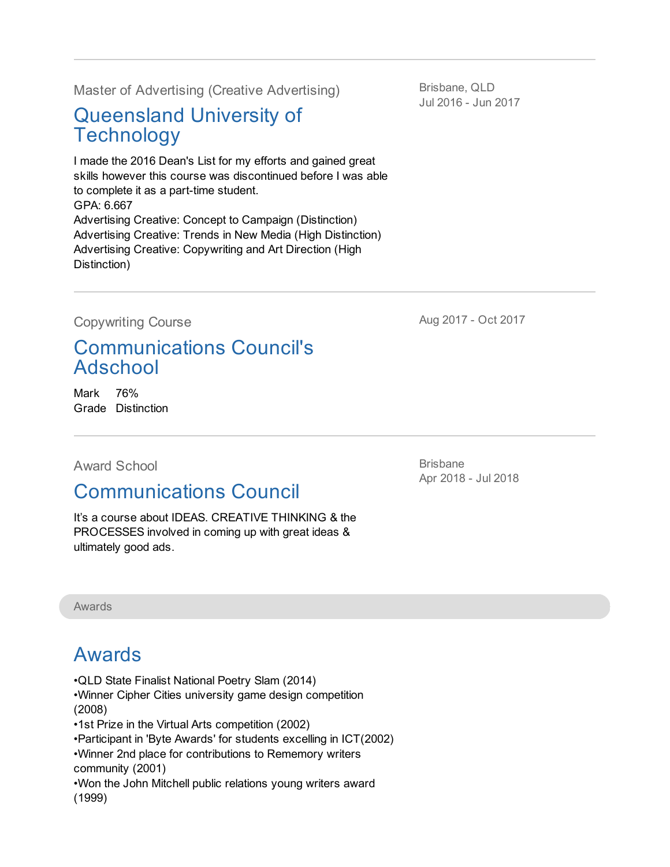Master of Advertising (Creative Advertising)

## [Queensland](https://www.qut.edu.au) University of **Technology**

I made the 2016 Dean's List for my efforts and gained great skills however this course was discontinued before I was able to complete it as a part-time student. GPA: 6.667 Advertising Creative: Concept to Campaign (Distinction) Advertising Creative: Trends in New Media (High Distinction) Advertising Creative: Copywriting and Art Direction (High Distinction)

Brisbane, QLD Jul 2016 - Jun 2017

Copywriting Course

[Communications](https://www.communicationscouncil.org.au/public/content/ViewCategory.aspx?id=1280#2-traversablecategories=32) Council's Adschool

Mark 76% Grade Distinction

Award School

## [Communications](http://awardonline.com/education/award-school) Council

It's a course about IDEAS. CREATIVE THINKING & the PROCESSES involved in coming up with great ideas & ultimately good ads.

Awards

## Awards

- •QLD State Finalist National Poetry Slam (2014)
- •Winner Cipher Cities university game design competition (2008)
- •1st Prize in the Virtual Arts competition (2002)
- •Participant in 'Byte Awards' for students excelling in ICT(2002)
- •Winner 2nd place for contributions to Rememory writers

community (2001)

•Won the John Mitchell public relations young writers award (1999)

Brisbane Apr 2018 - Jul 2018

Aug 2017 - Oct 2017